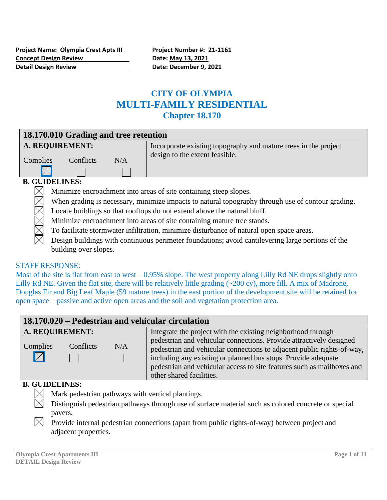# **CITY OF OLYMPIA MULTI-FAMILY RESIDENTIAL Chapter 18.170**

| 18.170.010 Grading and tree retention |           |     |                                                                                                   |  |
|---------------------------------------|-----------|-----|---------------------------------------------------------------------------------------------------|--|
| A. REQUIREMENT:                       |           |     | Incorporate existing topography and mature trees in the project<br>design to the extent feasible. |  |
| Complies                              | Conflicts | N/A |                                                                                                   |  |
|                                       |           |     |                                                                                                   |  |
| <b>B. GUIDELINES:</b>                 |           |     |                                                                                                   |  |

#### Minimize encroachment into areas of site containing steep slopes.

- When grading is necessary, minimize impacts to natural topography through use of contour grading.
- Locate buildings so that rooftops do not extend above the natural bluff.
- Minimize encroachment into areas of site containing mature tree stands.
- To facilitate stormwater infiltration, minimize disturbance of natural open space areas.
- Design buildings with continuous perimeter foundations; avoid cantilevering large portions of the building over slopes.

#### STAFF RESPONSE:

Most of the site is flat from east to west  $-0.95\%$  slope. The west property along Lilly Rd NE drops slightly onto Lilly Rd NE. Given the flat site, there will be relatively little grading (~200 cy), more fill. A mix of Madrone, Douglas Fir and Big Leaf Maple (59 mature trees) in the east portion of the development site will be retained for open space – passive and active open areas and the soil and vegetation protection area.

# **18.170.020 – Pedestrian and vehicular circulation**

| <b>A. REQUIREMENT:</b>  |           |     | Integrate the project with the existing neighborhood through                                                                                                                                                                                                                                                         |
|-------------------------|-----------|-----|----------------------------------------------------------------------------------------------------------------------------------------------------------------------------------------------------------------------------------------------------------------------------------------------------------------------|
| Complies<br>$\boxtimes$ | Conflicts | N/A | pedestrian and vehicular connections. Provide attractively designed<br>pedestrian and vehicular connections to adjacent public rights-of-way,<br>including any existing or planned bus stops. Provide adequate<br>pedestrian and vehicular access to site features such as mailboxes and<br>other shared facilities. |

#### **B. GUIDELINES:**

- Mark pedestrian pathways with vertical plantings.
- Distinguish pedestrian pathways through use of surface material such as colored concrete or special pavers.
- Provide internal pedestrian connections (apart from public rights-of-way) between project and adjacent properties.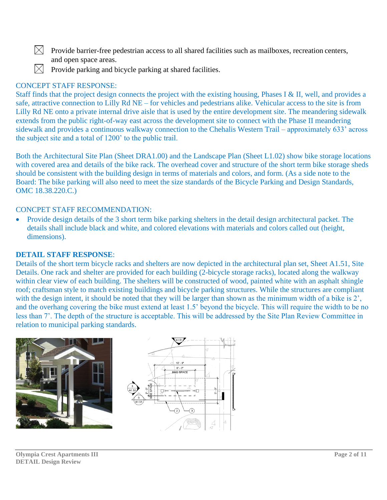$\boxtimes$  Provide barrier-free pedestrian access to all shared facilities such as mailboxes, recreation centers, and open space areas.



 $\bowtie$  Provide parking and bicycle parking at shared facilities.

#### CONCEPT STAFF RESPONSE:

Staff finds that the project design connects the project with the existing housing, Phases I & II, well, and provides a safe, attractive connection to Lilly Rd NE – for vehicles and pedestrians alike. Vehicular access to the site is from Lilly Rd NE onto a private internal drive aisle that is used by the entire development site. The meandering sidewalk extends from the public right-of-way east across the development site to connect with the Phase II meandering sidewalk and provides a continuous walkway connection to the Chehalis Western Trail – approximately 633' across the subject site and a total of 1200' to the public trail.

Both the Architectural Site Plan (Sheet DRA1.00) and the Landscape Plan (Sheet L1.02) show bike storage locations with covered area and details of the bike rack. The overhead cover and structure of the short term bike storage sheds should be consistent with the building design in terms of materials and colors, and form. (As a side note to the Board: The bike parking will also need to meet the size standards of the Bicycle Parking and Design Standards, OMC 18.38.220.C.)

#### CONCPET STAFF RECOMMENDATION:

• Provide design details of the 3 short term bike parking shelters in the detail design architectural packet. The details shall include black and white, and colored elevations with materials and colors called out (height, dimensions).

#### **DETAIL STAFF RESPONSE**:

Details of the short term bicycle racks and shelters are now depicted in the architectural plan set, Sheet A1.51, Site Details. One rack and shelter are provided for each building (2-bicycle storage racks), located along the walkway within clear view of each building. The shelters will be constructed of wood, painted white with an asphalt shingle roof; craftsman style to match existing buildings and bicycle parking structures. While the structures are compliant with the design intent, it should be noted that they will be larger than shown as the minimum width of a bike is 2', and the overhang covering the bike must extend at least 1.5' beyond the bicycle. This will require the width to be no less than 7'. The depth of the structure is acceptable. This will be addressed by the Site Plan Review Committee in relation to municipal parking standards.



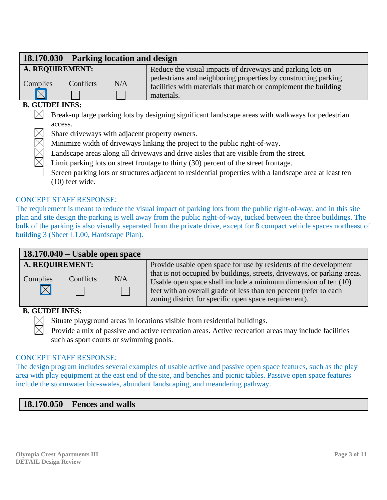#### **18.170.030 – Parking location and design A. REQUIREMENT:** Reduce the visual impacts of driveways and parking lots on pedestrians and neighboring properties by constructing parking Complies Conflicts N/A facilities with materials that match or complement the building  $\nabla$ materials.

# **B. GUIDELINES:**

- $\bowtie$  Break-up large parking lots by designing significant landscape areas with walkways for pedestrian access.
	- Share driveways with adjacent property owners.
	- Minimize width of driveways linking the project to the public right-of-way.
	- Landscape areas along all driveways and drive aisles that are visible from the street.
	- Limit parking lots on street frontage to thirty (30) percent of the street frontage.
	- Screen parking lots or structures adjacent to residential properties with a landscape area at least ten (10) feet wide.

#### CONCEPT STAFF RESPONSE:

The requirement is meant to reduce the visual impact of parking lots from the public right-of-way, and in this site plan and site design the parking is well away from the public right-of-way, tucked between the three buildings. The bulk of the parking is also visually separated from the private drive, except for 8 compact vehicle spaces northeast of building 3 (Sheet L1.00, Hardscape Plan).

| $18.170.040 -$ Usable open space |                                     |  |                                                                                                                                                                                                                  |  |  |
|----------------------------------|-------------------------------------|--|------------------------------------------------------------------------------------------------------------------------------------------------------------------------------------------------------------------|--|--|
| Complies                         | A. REQUIREMENT:<br>Conflicts<br>N/A |  | Provide usable open space for use by residents of the development<br>that is not occupied by buildings, streets, driveways, or parking areas.<br>Usable open space shall include a minimum dimension of ten (10) |  |  |
|                                  |                                     |  | feet with an overall grade of less than ten percent (refer to each<br>zoning district for specific open space requirement).                                                                                      |  |  |

#### **B. GUIDELINES:**



Provide a mix of passive and active recreation areas. Active recreation areas may include facilities such as sport courts or swimming pools.

#### CONCEPT STAFF RESPONSE:

The design program includes several examples of usable active and passive open space features, such as the play area with play equipment at the east end of the site, and benches and picnic tables. Passive open space features include the stormwater bio-swales, abundant landscaping, and meandering pathway.

# **18.170.050 – Fences and walls**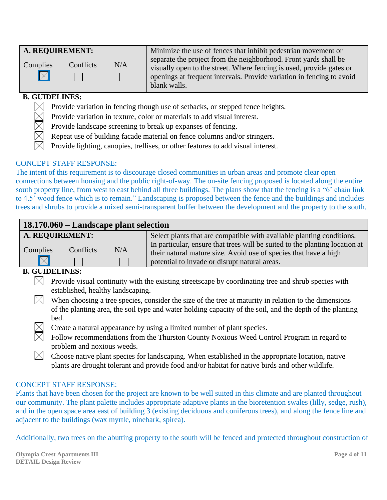#### **B. GUIDELINES:**

- Provide variation in fencing though use of setbacks, or stepped fence heights.
- Provide variation in texture, color or materials to add visual interest.
- Provide landscape screening to break up expanses of fencing.
- Repeat use of building facade material on fence columns and/or stringers.
- Provide lighting, canopies, trellises, or other features to add visual interest.

### CONCEPT STAFF RESPONSE:

The intent of this requirement is to discourage closed communities in urban areas and promote clear open connections between housing and the public right-of-way. The on-site fencing proposed is located along the entire south property line, from west to east behind all three buildings. The plans show that the fencing is a "6' chain link to 4.5' wood fence which is to remain." Landscaping is proposed between the fence and the buildings and includes trees and shrubs to provide a mixed semi-transparent buffer between the development and the property to the south.

| 18.170.060 – Landscape plant selection |           |     |                                                                                                                                                      |
|----------------------------------------|-----------|-----|------------------------------------------------------------------------------------------------------------------------------------------------------|
| A. REQUIREMENT:                        |           |     | Select plants that are compatible with available planting conditions.<br>In particular, ensure that trees will be suited to the planting location at |
| Complies<br>$\nabla$                   | Conflicts | N/A | their natural mature size. Avoid use of species that have a high<br>potential to invade or disrupt natural areas.                                    |
| CHINEI INEC.                           |           |     |                                                                                                                                                      |

# **B. GUIDELINES:**

- $\boxtimes$  Provide visual continuity with the existing streetscape by coordinating tree and shrub species with established, healthy landscaping.
- $\boxtimes$  When choosing a tree species, consider the size of the tree at maturity in relation to the dimensions of the planting area, the soil type and water holding capacity of the soil, and the depth of the planting bed.
	- Create a natural appearance by using a limited number of plant species.
	- Follow recommendations from the Thurston County Noxious Weed Control Program in regard to problem and noxious weeds.
- $\boxtimes$  Choose native plant species for landscaping. When established in the appropriate location, native plants are drought tolerant and provide food and/or habitat for native birds and other wildlife.

#### CONCEPT STAFF RESPONSE:

Plants that have been chosen for the project are known to be well suited in this climate and are planted throughout our community. The plant palette includes appropriate adaptive plants in the bioretention swales (lilly, sedge, rush), and in the open space area east of building 3 (existing deciduous and coniferous trees), and along the fence line and adjacent to the buildings (wax myrtle, ninebark, spirea).

Additionally, two trees on the abutting property to the south will be fenced and protected throughout construction of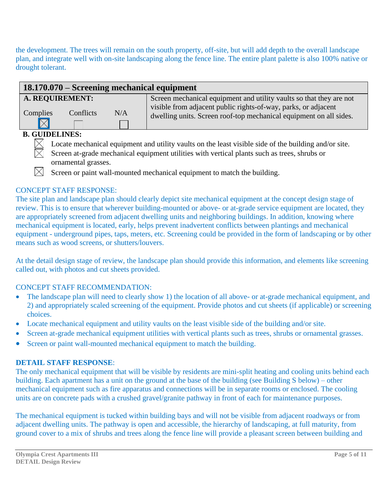the development. The trees will remain on the south property, off-site, but will add depth to the overall landscape plan, and integrate well with on-site landscaping along the fence line. The entire plant palette is also 100% native or drought tolerant.

| 18.170.070 – Screening mechanical equipment |           |     |                                                                                                                                      |
|---------------------------------------------|-----------|-----|--------------------------------------------------------------------------------------------------------------------------------------|
| A. REQUIREMENT:                             |           |     | Screen mechanical equipment and utility vaults so that they are not                                                                  |
| Complies                                    | Conflicts | N/A | visible from adjacent public rights-of-way, parks, or adjacent<br>dwelling units. Screen roof-top mechanical equipment on all sides. |
| B AITREFIRA                                 |           |     |                                                                                                                                      |

#### **B. GUIDELINES:**



Locate mechanical equipment and utility vaults on the least visible side of the building and/or site.

Screen at-grade mechanical equipment utilities with vertical plants such as trees, shrubs or ornamental grasses.

Screen or paint wall-mounted mechanical equipment to match the building.

### CONCEPT STAFF RESPONSE:

The site plan and landscape plan should clearly depict site mechanical equipment at the concept design stage of review. This is to ensure that wherever building-mounted or above- or at-grade service equipment are located, they are appropriately screened from adjacent dwelling units and neighboring buildings. In addition, knowing where mechanical equipment is located, early, helps prevent inadvertent conflicts between plantings and mechanical equipment - underground pipes, taps, meters, etc. Screening could be provided in the form of landscaping or by other means such as wood screens, or shutters/louvers.

At the detail design stage of review, the landscape plan should provide this information, and elements like screening called out, with photos and cut sheets provided.

# CONCEPT STAFF RECOMMENDATION:

- The landscape plan will need to clearly show 1) the location of all above- or at-grade mechanical equipment, and 2) and appropriately scaled screening of the equipment. Provide photos and cut sheets (if applicable) or screening choices.
- Locate mechanical equipment and utility vaults on the least visible side of the building and/or site.
- Screen at-grade mechanical equipment utilities with vertical plants such as trees, shrubs or ornamental grasses.
- Screen or paint wall-mounted mechanical equipment to match the building.

#### **DETAIL STAFF RESPONSE**:

The only mechanical equipment that will be visible by residents are mini-split heating and cooling units behind each building. Each apartment has a unit on the ground at the base of the building (see Building S below) – other mechanical equipment such as fire apparatus and connections will be in separate rooms or enclosed. The cooling units are on concrete pads with a crushed gravel/granite pathway in front of each for maintenance purposes.

The mechanical equipment is tucked within building bays and will not be visible from adjacent roadways or from adjacent dwelling units. The pathway is open and accessible, the hierarchy of landscaping, at full maturity, from ground cover to a mix of shrubs and trees along the fence line will provide a pleasant screen between building and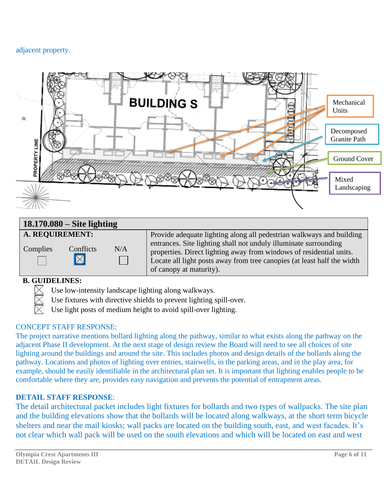#### adjacent property.



# **18.170.080 – Site lighting**

| A. REQUIREMENT:                      |     | Provide adequate lighting along all pedestrian walkways and building                                                                                                                                                                          |
|--------------------------------------|-----|-----------------------------------------------------------------------------------------------------------------------------------------------------------------------------------------------------------------------------------------------|
| Conflicts<br>Complies<br>$\boxtimes$ | N/A | entrances. Site lighting shall not unduly illuminate surrounding<br>properties. Direct lighting away from windows of residential units.<br>Locate all light posts away from tree canopies (at least half the width<br>of canopy at maturity). |

# **B. GUIDELINES:**

- Use low-intensity landscape lighting along walkways.
- Use fixtures with directive shields to prevent lighting spill-over.
- Use light posts of medium height to avoid spill-over lighting.

#### CONCEPT STAFF RESPONSE:

The project narrative mentions bollard lighting along the pathway, similar to what exists along the pathway on the adjacent Phase II development. At the next stage of design review the Board will need to see all choices of site lighting around the buildings and around the site. This includes photos and design details of the bollards along the pathway. Locations and photos of lighting over entries, stairwells, in the parking areas, and in the play area, for example, should be easily identifiable in the architectural plan set. It is important that lighting enables people to be comfortable where they are, provides easy navigation and prevents the potential of entrapment areas.

#### **DETAIL STAFF RESPONSE**:

The detail architectural packet includes light fixtures for bollards and two types of wallpacks. The site plan and the building elevations show that the bollards will be located along walkways, at the short term bicycle shelters and near the mail kiosks; wall packs are located on the building south, east, and west facades. It's not clear which wall pack will be used on the south elevations and which will be located on east and west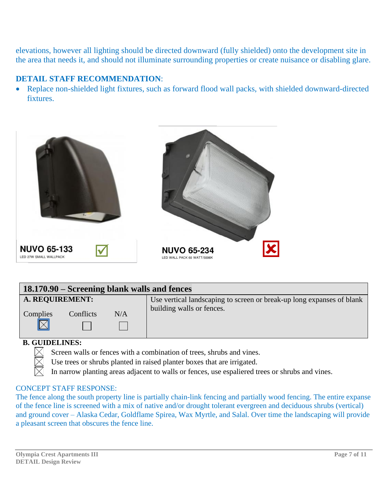elevations, however all lighting should be directed downward (fully shielded) onto the development site in the area that needs it, and should not illuminate surrounding properties or create nuisance or disabling glare.

## **DETAIL STAFF RECOMMENDATION**:

• Replace non-shielded light fixtures, such as forward flood wall packs, with shielded downward-directed fixtures.



| 18.170.90 – Screening blank walls and fences |           |     |                                                                       |  |
|----------------------------------------------|-----------|-----|-----------------------------------------------------------------------|--|
| A. REQUIREMENT:                              |           |     | Use vertical landscaping to screen or break-up long expanses of blank |  |
| Complies                                     | Conflicts | N/A | building walls or fences.                                             |  |
| D. AIIIDEI INEA                              |           |     |                                                                       |  |

#### **B. GUIDELINES:**

- Screen walls or fences with a combination of trees, shrubs and vines.
- Use trees or shrubs planted in raised planter boxes that are irrigated.
- In narrow planting areas adjacent to walls or fences, use espaliered trees or shrubs and vines.

#### CONCEPT STAFF RESPONSE:

The fence along the south property line is partially chain-link fencing and partially wood fencing. The entire expanse of the fence line is screened with a mix of native and/or drought tolerant evergreen and deciduous shrubs (vertical) and ground cover – Alaska Cedar, Goldflame Spirea, Wax Myrtle, and Salal. Over time the landscaping will provide a pleasant screen that obscures the fence line.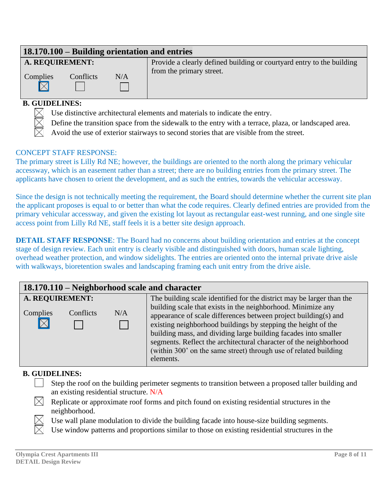# **18.170.100 – Building orientation and entries**

**I** 

# **A. REQUIREMENT:**

Complies Conflicts N/A  $\boxtimes$ 

Provide a clearly defined building or courtyard entry to the building from the primary street.

# **B. GUIDELINES:**

- Use distinctive architectural elements and materials to indicate the entry.
- Define the transition space from the sidewalk to the entry with a terrace, plaza, or landscaped area.
- Avoid the use of exterior stairways to second stories that are visible from the street.

#### CONCEPT STAFF RESPONSE:

The primary street is Lilly Rd NE; however, the buildings are oriented to the north along the primary vehicular accessway, which is an easement rather than a street; there are no building entries from the primary street. The applicants have chosen to orient the development, and as such the entries, towards the vehicular accessway.

Since the design is not technically meeting the requirement, the Board should determine whether the current site plan the applicant proposes is equal to or better than what the code requires. Clearly defined entries are provided from the primary vehicular accessway, and given the existing lot layout as rectangular east-west running, and one single site access point from Lilly Rd NE, staff feels it is a better site design approach.

**DETAIL STAFF RESPONSE:** The Board had no concerns about building orientation and entries at the concept stage of design review. Each unit entry is clearly visible and distinguished with doors, human scale lighting, overhead weather protection, and window sidelights. The entries are oriented onto the internal private drive aisle with walkways, bioretention swales and landscaping framing each unit entry from the drive aisle.

| 18.170.110 – Neighborhood scale and character                  |                                                                                                                                                                                                                                                                                                                                                                                                                                                                                                    |  |  |  |  |
|----------------------------------------------------------------|----------------------------------------------------------------------------------------------------------------------------------------------------------------------------------------------------------------------------------------------------------------------------------------------------------------------------------------------------------------------------------------------------------------------------------------------------------------------------------------------------|--|--|--|--|
| A. REQUIREMENT:<br>Complies<br>Conflicts<br>N/A<br>$\boxtimes$ | The building scale identified for the district may be larger than the<br>building scale that exists in the neighborhood. Minimize any<br>appearance of scale differences between project building(s) and<br>existing neighborhood buildings by stepping the height of the<br>building mass, and dividing large building facades into smaller<br>segments. Reflect the architectural character of the neighborhood<br>(within 300' on the same street) through use of related building<br>elements. |  |  |  |  |

#### **B. GUIDELINES:**

- Step the roof on the building perimeter segments to transition between a proposed taller building and an existing residential structure. N/A
- $\boxtimes$  Replicate or approximate roof forms and pitch found on existing residential structures in the neighborhood.

Use wall plane modulation to divide the building facade into house-size building segments.

Use window patterns and proportions similar to those on existing residential structures in the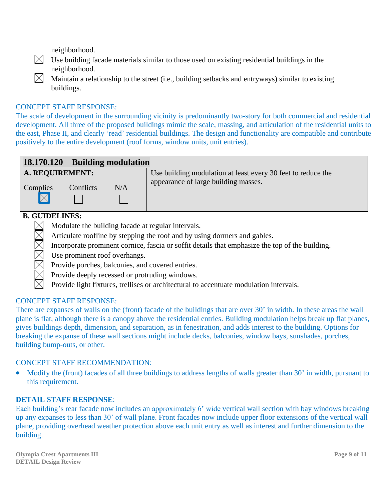neighborhood.

- $\boxtimes$  Use building facade materials similar to those used on existing residential buildings in the neighborhood.
- $\boxtimes$  Maintain a relationship to the street (i.e., building setbacks and entryways) similar to existing buildings.

#### CONCEPT STAFF RESPONSE:

The scale of development in the surrounding vicinity is predominantly two-story for both commercial and residential development. All three of the proposed buildings mimic the scale, massing, and articulation of the residential units to the east, Phase II, and clearly 'read' residential buildings. The design and functionality are compatible and contribute positively to the entire development (roof forms, window units, unit entries).



#### **B. GUIDELINES:**

 $\times$ Modulate the building facade at regular intervals.

- Articulate roofline by stepping the roof and by using dormers and gables.
- Incorporate prominent cornice, fascia or soffit details that emphasize the top of the building.
- Use prominent roof overhangs.
- Provide porches, balconies, and covered entries.
- Provide deeply recessed or protruding windows.
- Provide light fixtures, trellises or architectural to accentuate modulation intervals.

#### CONCEPT STAFF RESPONSE:

There are expanses of walls on the (front) facade of the buildings that are over 30' in width. In these areas the wall plane is flat, although there is a canopy above the residential entries. Building modulation helps break up flat planes, gives buildings depth, dimension, and separation, as in fenestration, and adds interest to the building. Options for breaking the expanse of these wall sections might include decks, balconies, window bays, sunshades, porches, building bump-outs, or other.

#### CONCEPT STAFF RECOMMENDATION:

• Modify the (front) facades of all three buildings to address lengths of walls greater than 30' in width, pursuant to this requirement.

#### **DETAIL STAFF RESPONSE**:

Each building's rear facade now includes an approximately 6' wide vertical wall section with bay windows breaking up any expanses to less than 30' of wall plane. Front facades now include upper floor extensions of the vertical wall plane, providing overhead weather protection above each unit entry as well as interest and further dimension to the building.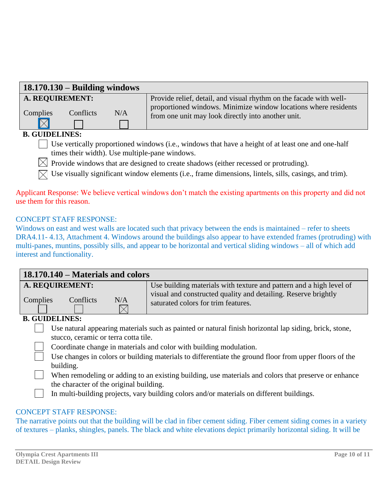|                 | $18.170.130 - Building$ windows |     |                                                                                                                                       |
|-----------------|---------------------------------|-----|---------------------------------------------------------------------------------------------------------------------------------------|
| A. REQUIREMENT: |                                 |     | Provide relief, detail, and visual rhythm on the facade with well-<br>proportioned windows. Minimize window locations where residents |
| Complies        | Conflicts                       | N/A | from one unit may look directly into another unit.                                                                                    |
|                 |                                 |     |                                                                                                                                       |
| R CHIDELINES.   |                                 |     |                                                                                                                                       |

#### **B. GUIDELINES:**

Use vertically proportioned windows (i.e., windows that have a height of at least one and one-half times their width). Use multiple-pane windows.

 $\boxtimes$  Provide windows that are designed to create shadows (either recessed or protruding).

 $\boxtimes$  Use visually significant window elements (i.e., frame dimensions, lintels, sills, casings, and trim).

#### Applicant Response: We believe vertical windows don't match the existing apartments on this property and did not use them for this reason.

#### CONCEPT STAFF RESPONSE:

Windows on east and west walls are located such that privacy between the ends is maintained – refer to sheets DRA4.11- 4.13, Attachment 4. Windows around the buildings also appear to have extended frames (protruding) with multi-panes, muntins, possibly sills, and appear to be horizontal and vertical sliding windows – all of which add interest and functionality.

| 18.170.140 – Materials and colors               |                                                                                                                                                                              |  |  |  |
|-------------------------------------------------|------------------------------------------------------------------------------------------------------------------------------------------------------------------------------|--|--|--|
| A. REQUIREMENT:<br>N/A<br>Conflicts<br>Complies | Use building materials with texture and pattern and a high level of<br>visual and constructed quality and detailing. Reserve brightly<br>saturated colors for trim features. |  |  |  |

#### **B. GUIDELINES:**

Use natural appearing materials such as painted or natural finish horizontal lap siding, brick, stone, stucco, ceramic or terra cotta tile.

Coordinate change in materials and color with building modulation.

Use changes in colors or building materials to differentiate the ground floor from upper floors of the building.

When remodeling or adding to an existing building, use materials and colors that preserve or enhance the character of the original building.

In multi-building projects, vary building colors and/or materials on different buildings.

#### CONCEPT STAFF RESPONSE:

The narrative points out that the building will be clad in fiber cement siding. Fiber cement siding comes in a variety of textures – planks, shingles, panels. The black and white elevations depict primarily horizontal siding. It will be